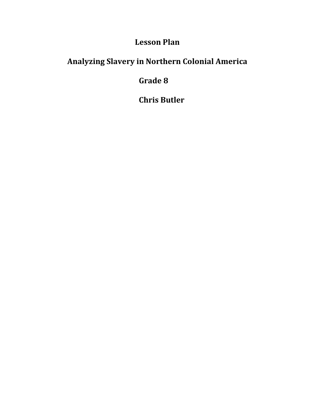### **Lesson Plan**

# **Analyzing Slavery in Northern Colonial America**

## **Grade 8**

## **Chris Butler**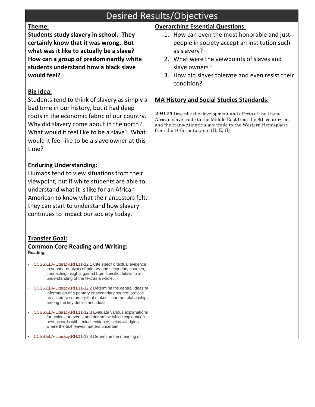# Desired Results/Objectives

#### **Theme:**

**Students study slavery in school. They certainly know that it was wrong. But what was it like to actually be a slave? How can a group of predominantly white students understand how a black slave would feel?**

### **Big Idea:**

Students tend to think of slavery as simply a bad time in our history, but it had deep roots in the economic fabric of our country. Why did slavery come about in the north? What would it feel like to be a slave? What would it feel like to be a slave owner at this time?

#### **Enduring Understanding:**

Humans tend to view situations from their viewpoint, but if white students are able to understand what it is like for an African American to know what their ancestors felt, they can start to understand how slavery continues to impact our society today.

### **Transfer Goal:**

#### **Common Core Reading and Writing: Reading:**

- [CCSS.ELA-Literacy.RH.11-12.1](http://www.corestandards.org/ELA-Literacy/RH/11-12/1/) Cite specific textual evidence to support analysis of primary and secondary sources, connecting insights gained from specific details to an understanding of the text as a whole.
- [CCSS.ELA-Literacy.RH.11-12.2](http://www.corestandards.org/ELA-Literacy/RH/11-12/2/) Determine the central ideas or information of a primary or secondary source; provide an accurate summary that makes clear the relationships among the key details and ideas.
- [CCSS.ELA-Literacy.RH.11-12.3](http://www.corestandards.org/ELA-Literacy/RH/11-12/3/) Evaluate various explanations for actions or events and determine which explanation best accords with textual evidence, acknowledging where the text leaves matters uncertain.
- [CCSS.ELA-Literacy.RH.11-12.4](http://www.corestandards.org/ELA-Literacy/RH/11-12/4/) Determine the meaning of

#### **Overarching Essential Questions:**

- 1. How can even the most honorable and just people in society accept an institution such as slavery?
- 2. What were the viewpoints of slaves and slave owners?
- 3. How did slaves tolerate and even resist their condition?

#### **MA History and Social Studies Standards:**

*WHI.20* Describe the development and effects of the trans-African slave trade to the Middle East from the 8th century on, and the trans-Atlantic slave trade to the Western Hemisphere from the 16th century on. (H, E, G)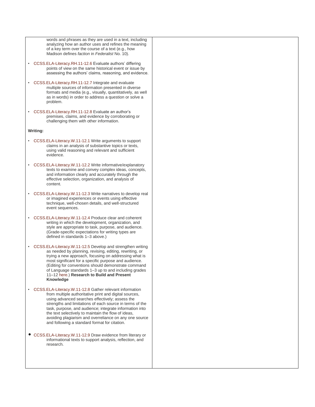words and phrases as they are used in a text, including analyzing how an author uses and refines the meaning of a key term over the course of a text (e.g., how Madison defines *faction* in *Federalist* No. 10).

- [CCSS.ELA-Literacy.RH.11-12.6](http://www.corestandards.org/ELA-Literacy/RH/11-12/6/) Evaluate authors' differing points of view on the same historical event or issue by assessing the authors' claims, reasoning, and evidence.
- [CCSS.ELA-Literacy.RH.11-12.7](http://www.corestandards.org/ELA-Literacy/RH/11-12/7/) Integrate and evaluate multiple sources of information presented in diverse formats and media (e.g., visually, quantitatively, as well as in words) in order to address a question or solve a problem.
- [CCSS.ELA-Literacy.RH.11-12.8](http://www.corestandards.org/ELA-Literacy/RH/11-12/8/) Evaluate an author's premises, claims, and evidence by corroborating or challenging them with other information.

#### **Writing:**

- [CCSS.ELA-Literacy.W.11-12.1](http://www.corestandards.org/ELA-Literacy/W/11-12/1/) Write arguments to support claims in an analysis of substantive topics or texts, using valid reasoning and relevant and sufficient evidence.
- [CCSS.ELA-Literacy.W.11-12.2](http://www.corestandards.org/ELA-Literacy/W/11-12/2/) Write informative/explanatory texts to examine and convey complex ideas, concepts, and information clearly and accurately through the effective selection, organization, and analysis of content.
- [CCSS.ELA-Literacy.W.11-12.3](http://www.corestandards.org/ELA-Literacy/W/11-12/3/) Write narratives to develop real or imagined experiences or events using effective technique, well-chosen details, and well-structured event sequences.
- [CCSS.ELA-Literacy.W.11-12.4](http://www.corestandards.org/ELA-Literacy/W/11-12/4/) Produce clear and coherent writing in which the development, organization, and style are appropriate to task, purpose, and audience. (Grade-specific expectations for writing types are defined in standards 1–3 above.)
- [CCSS.ELA-Literacy.W.11-12.5](http://www.corestandards.org/ELA-Literacy/W/11-12/5/) Develop and strengthen writing as needed by planning, revising, editing, rewriting, or trying a new approach, focusing on addressing what is most significant for a specific purpose and audience. (Editing for conventions should demonstrate command of Language standards 1–3 up to and including grades 11–12 [here.](http://www.corestandards.org/ELA-Literacy/L/11-12)) **Research to Build and Present Knowledge**
- [CCSS.ELA-Literacy.W.11-12.8](http://www.corestandards.org/ELA-Literacy/W/11-12/8/) Gather relevant information from multiple authoritative print and digital sources, using advanced searches effectively; assess the strengths and limitations of each source in terms of the task, purpose, and audience; integrate information into the text selectively to maintain the flow of ideas, avoiding plagiarism and overreliance on any one source and following a standard format for citation.
- [CCSS.ELA-Literacy.W.11-12.9](http://www.corestandards.org/ELA-Literacy/W/11-12/9/) Draw evidence from literary or informational texts to support analysis, reflection, and research.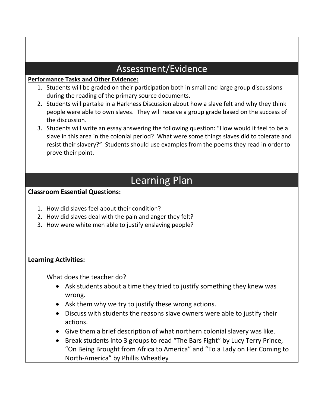# Assessment/Evidence

#### **Performance Tasks and Other Evidence:**

- 1. Students will be graded on their participation both in small and large group discussions during the reading of the primary source documents.
- 2. Students will partake in a Harkness Discussion about how a slave felt and why they think people were able to own slaves. They will receive a group grade based on the success of the discussion.
- 3. Students will write an essay answering the following question: "How would it feel to be a slave in this area in the colonial period? What were some things slaves did to tolerate and resist their slavery?" Students should use examples from the poems they read in order to prove their point.

# Learning Plan

#### **Classroom Essential Questions:**

- 1. How did slaves feel about their condition?
- 2. How did slaves deal with the pain and anger they felt?
- 3. How were white men able to justify enslaving people?

### **Learning Activities:**

What does the teacher do?

- Ask students about a time they tried to justify something they knew was wrong.
- Ask them why we try to justify these wrong actions.
- Discuss with students the reasons slave owners were able to justify their actions.
- Give them a brief description of what northern colonial slavery was like.
- Break students into 3 groups to read "The Bars Fight" by Lucy Terry Prince, "On Being Brought from Africa to America" and "To a Lady on Her Coming to North-America" by Phillis Wheatley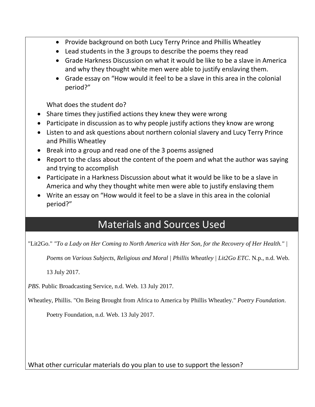- Provide background on both Lucy Terry Prince and Phillis Wheatley
- Lead students in the 3 groups to describe the poems they read
- Grade Harkness Discussion on what it would be like to be a slave in America and why they thought white men were able to justify enslaving them.
- Grade essay on "How would it feel to be a slave in this area in the colonial period?"

What does the student do?

- Share times they justified actions they knew they were wrong
- Participate in discussion as to why people justify actions they know are wrong
- Listen to and ask questions about northern colonial slavery and Lucy Terry Prince and Phillis Wheatley
- Break into a group and read one of the 3 poems assigned
- Report to the class about the content of the poem and what the author was saying and trying to accomplish
- Participate in a Harkness Discussion about what it would be like to be a slave in America and why they thought white men were able to justify enslaving them
- Write an essay on "How would it feel to be a slave in this area in the colonial period?"

# Materials and Sources Used

"Lit2Go." *"To a Lady on Her Coming to North America with Her Son, for the Recovery of Her Health." |* 

*Poems on Various Subjects, Religious and Moral | Phillis Wheatley | Lit2Go ETC*. N.p., n.d. Web.

13 July 2017.

*PBS*. Public Broadcasting Service, n.d. Web. 13 July 2017.

Wheatley, Phillis. "On Being Brought from Africa to America by Phillis Wheatley." *Poetry Foundation*.

Poetry Foundation, n.d. Web. 13 July 2017.

What other curricular materials do you plan to use to support the lesson?